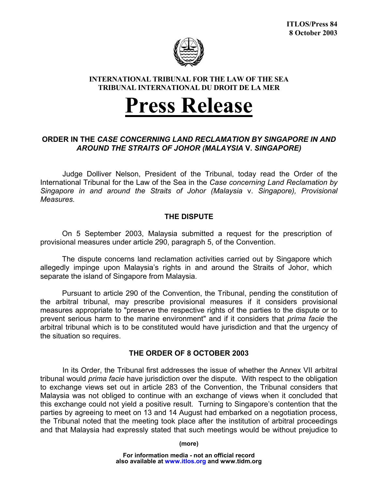

### **INTERNATIONAL TRIBUNAL FOR THE LAW OF THE SEA TRIBUNAL INTERNATIONAL DU DROIT DE LA MER**

# **Press Release**

## **ORDER IN THE** *CASE CONCERNING LAND RECLAMATION BY SINGAPORE IN AND AROUND THE STRAITS OF JOHOR (MALAYSIA* **V.** *SINGAPORE)*

Judge Dolliver Nelson, President of the Tribunal, today read the Order of the International Tribunal for the Law of the Sea in the *Case concerning Land Reclamation by Singapore in and around the Straits of Johor (Malaysia* v. *Singapore), Provisional Measures.*

# **THE DISPUTE**

On 5 September 2003, Malaysia submitted a request for the prescription of provisional measures under article 290, paragraph 5, of the Convention.

The dispute concerns land reclamation activities carried out by Singapore which allegedly impinge upon Malaysia's rights in and around the Straits of Johor, which separate the island of Singapore from Malaysia.

Pursuant to article 290 of the Convention, the Tribunal, pending the constitution of the arbitral tribunal, may prescribe provisional measures if it considers provisional measures appropriate to "preserve the respective rights of the parties to the dispute or to prevent serious harm to the marine environment" and if it considers that *prima facie* the arbitral tribunal which is to be constituted would have jurisdiction and that the urgency of the situation so requires.

### **THE ORDER OF 8 OCTOBER 2003**

In its Order, the Tribunal first addresses the issue of whether the Annex VII arbitral tribunal would *prima facie* have jurisdiction over the dispute. With respect to the obligation to exchange views set out in article 283 of the Convention, the Tribunal considers that Malaysia was not obliged to continue with an exchange of views when it concluded that this exchange could not yield a positive result. Turning to Singapore's contention that the parties by agreeing to meet on 13 and 14 August had embarked on a negotiation process, the Tribunal noted that the meeting took place after the institution of arbitral proceedings and that Malaysia had expressly stated that such meetings would be without prejudice to

**(more)**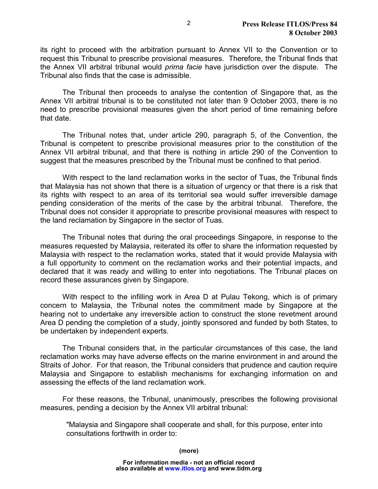its right to proceed with the arbitration pursuant to Annex VII to the Convention or to request this Tribunal to prescribe provisional measures. Therefore, the Tribunal finds that the Annex VII arbitral tribunal would *prima facie* have jurisdiction over the dispute. The Tribunal also finds that the case is admissible.

The Tribunal then proceeds to analyse the contention of Singapore that, as the Annex VII arbitral tribunal is to be constituted not later than 9 October 2003, there is no need to prescribe provisional measures given the short period of time remaining before that date.

 The Tribunal notes that, under article 290, paragraph 5, of the Convention, the Tribunal is competent to prescribe provisional measures prior to the constitution of the Annex VII arbitral tribunal, and that there is nothing in article 290 of the Convention to suggest that the measures prescribed by the Tribunal must be confined to that period.

With respect to the land reclamation works in the sector of Tuas, the Tribunal finds that Malaysia has not shown that there is a situation of urgency or that there is a risk that its rights with respect to an area of its territorial sea would suffer irreversible damage pending consideration of the merits of the case by the arbitral tribunal. Therefore, the Tribunal does not consider it appropriate to prescribe provisional measures with respect to the land reclamation by Singapore in the sector of Tuas.

The Tribunal notes that during the oral proceedings Singapore, in response to the measures requested by Malaysia, reiterated its offer to share the information requested by Malaysia with respect to the reclamation works, stated that it would provide Malaysia with a full opportunity to comment on the reclamation works and their potential impacts, and declared that it was ready and willing to enter into negotiations. The Tribunal places on record these assurances given by Singapore.

With respect to the infilling work in Area D at Pulau Tekong, which is of primary concern to Malaysia, the Tribunal notes the commitment made by Singapore at the hearing not to undertake any irreversible action to construct the stone revetment around Area D pending the completion of a study, jointly sponsored and funded by both States, to be undertaken by independent experts.

The Tribunal considers that, in the particular circumstances of this case, the land reclamation works may have adverse effects on the marine environment in and around the Straits of Johor. For that reason, the Tribunal considers that prudence and caution require Malaysia and Singapore to establish mechanisms for exchanging information on and assessing the effects of the land reclamation work.

For these reasons, the Tribunal, unanimously, prescribes the following provisional measures, pending a decision by the Annex VII arbitral tribunal:

"Malaysia and Singapore shall cooperate and shall, for this purpose, enter into consultations forthwith in order to: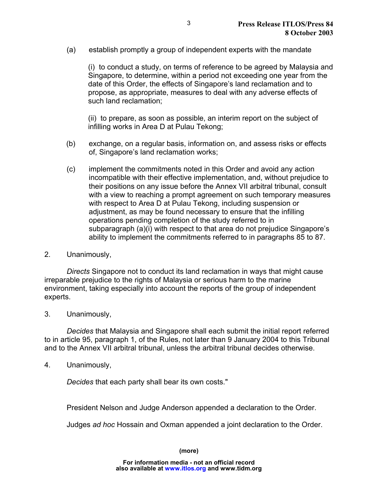(a) establish promptly a group of independent experts with the mandate

(i) to conduct a study, on terms of reference to be agreed by Malaysia and Singapore, to determine, within a period not exceeding one year from the date of this Order, the effects of Singapore's land reclamation and to propose, as appropriate, measures to deal with any adverse effects of such land reclamation;

(ii) to prepare, as soon as possible, an interim report on the subject of infilling works in Area D at Pulau Tekong;

- (b) exchange, on a regular basis, information on, and assess risks or effects of, Singapore's land reclamation works;
- (c) implement the commitments noted in this Order and avoid any action incompatible with their effective implementation, and, without prejudice to their positions on any issue before the Annex VII arbitral tribunal, consult with a view to reaching a prompt agreement on such temporary measures with respect to Area D at Pulau Tekong, including suspension or adjustment, as may be found necessary to ensure that the infilling operations pending completion of the study referred to in subparagraph (a)(i) with respect to that area do not prejudice Singapore's ability to implement the commitments referred to in paragraphs 85 to 87.
- 2. Unanimously,

*Directs* Singapore not to conduct its land reclamation in ways that might cause irreparable prejudice to the rights of Malaysia or serious harm to the marine environment, taking especially into account the reports of the group of independent experts.

3. Unanimously,

*Decides* that Malaysia and Singapore shall each submit the initial report referred to in article 95, paragraph 1, of the Rules, not later than 9 January 2004 to this Tribunal and to the Annex VII arbitral tribunal, unless the arbitral tribunal decides otherwise.

4. Unanimously,

*Decides* that each party shall bear its own costs."

President Nelson and Judge Anderson appended a declaration to the Order.

Judges *ad hoc* Hossain and Oxman appended a joint declaration to the Order.